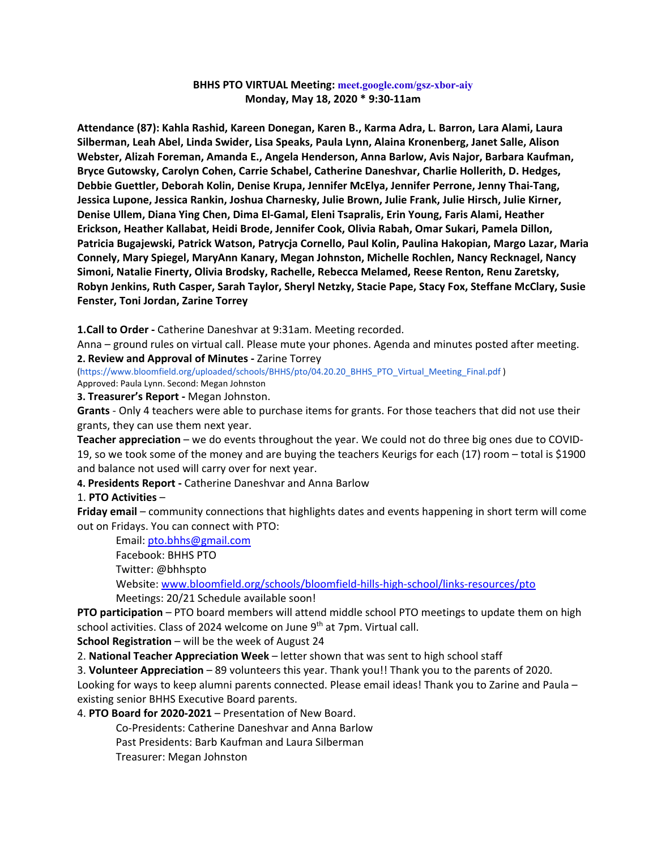### **BHHS PTO VIRTUAL Meeting: meet.google.com/gsz-xbor-aiy Monday, May 18, 2020 \* 9:30-11am**

**Attendance (87): Kahla Rashid, Kareen Donegan, Karen B., Karma Adra, L. Barron, Lara Alami, Laura Silberman, Leah Abel, Linda Swider, Lisa Speaks, Paula Lynn, Alaina Kronenberg, Janet Salle, Alison Webster, Alizah Foreman, Amanda E., Angela Henderson, Anna Barlow, Avis Najor, Barbara Kaufman, Bryce Gutowsky, Carolyn Cohen, Carrie Schabel, Catherine Daneshvar, Charlie Hollerith, D. Hedges, Debbie Guettler, Deborah Kolin, Denise Krupa, Jennifer McElya, Jennifer Perrone, Jenny Thai-Tang, Jessica Lupone, Jessica Rankin, Joshua Charnesky, Julie Brown, Julie Frank, Julie Hirsch, Julie Kirner, Denise Ullem, Diana Ying Chen, Dima El-Gamal, Eleni Tsapralis, Erin Young, Faris Alami, Heather Erickson, Heather Kallabat, Heidi Brode, Jennifer Cook, Olivia Rabah, Omar Sukari, Pamela Dillon, Patricia Bugajewski, Patrick Watson, Patrycja Cornello, Paul Kolin, Paulina Hakopian, Margo Lazar, Maria Connely, Mary Spiegel, MaryAnn Kanary, Megan Johnston, Michelle Rochlen, Nancy Recknagel, Nancy Simoni, Natalie Finerty, Olivia Brodsky, Rachelle, Rebecca Melamed, Reese Renton, Renu Zaretsky, Robyn Jenkins, Ruth Casper, Sarah Taylor, Sheryl Netzky, Stacie Pape, Stacy Fox, Steffane McClary, Susie Fenster, Toni Jordan, Zarine Torrey**

**1.Call to Order -** Catherine Daneshvar at 9:31am. Meeting recorded.

Anna – ground rules on virtual call. Please mute your phones. Agenda and minutes posted after meeting. **2. Review and Approval of Minutes -** Zarine Torrey

(https://www.bloomfield.org/uploaded/schools/BHHS/pto/04.20.20\_BHHS\_PTO\_Virtual\_Meeting\_Final.pdf ) Approved: Paula Lynn. Second: Megan Johnston

**3. Treasurer's Report -** Megan Johnston.

**Grants** - Only 4 teachers were able to purchase items for grants. For those teachers that did not use their grants, they can use them next year.

**Teacher appreciation** – we do events throughout the year. We could not do three big ones due to COVID-19, so we took some of the money and are buying the teachers Keurigs for each (17) room – total is \$1900 and balance not used will carry over for next year.

**4. Presidents Report -** Catherine Daneshvar and Anna Barlow

#### 1. **PTO Activities** –

**Friday email** – community connections that highlights dates and events happening in short term will come out on Fridays. You can connect with PTO:

Email: [pto.bhhs@gmail.com](about:blank)

Facebook: BHHS PTO

Twitter: @bhhspto

Website: [www.bloomfield.org/schools/bloomfield-hills-high-school/links-resources/pto](about:blank) Meetings: 20/21 Schedule available soon!

**PTO participation** – PTO board members will attend middle school PTO meetings to update them on high school activities. Class of 2024 welcome on June  $9<sup>th</sup>$  at 7pm. Virtual call.

**School Registration** – will be the week of August 24

2. **National Teacher Appreciation Week** – letter shown that was sent to high school staff

3. **Volunteer Appreciation** – 89 volunteers this year. Thank you!! Thank you to the parents of 2020. Looking for ways to keep alumni parents connected. Please email ideas! Thank you to Zarine and Paula existing senior BHHS Executive Board parents.

4. **PTO Board for 2020-2021** – Presentation of New Board.

Co-Presidents: Catherine Daneshvar and Anna Barlow

Past Presidents: Barb Kaufman and Laura Silberman

Treasurer: Megan Johnston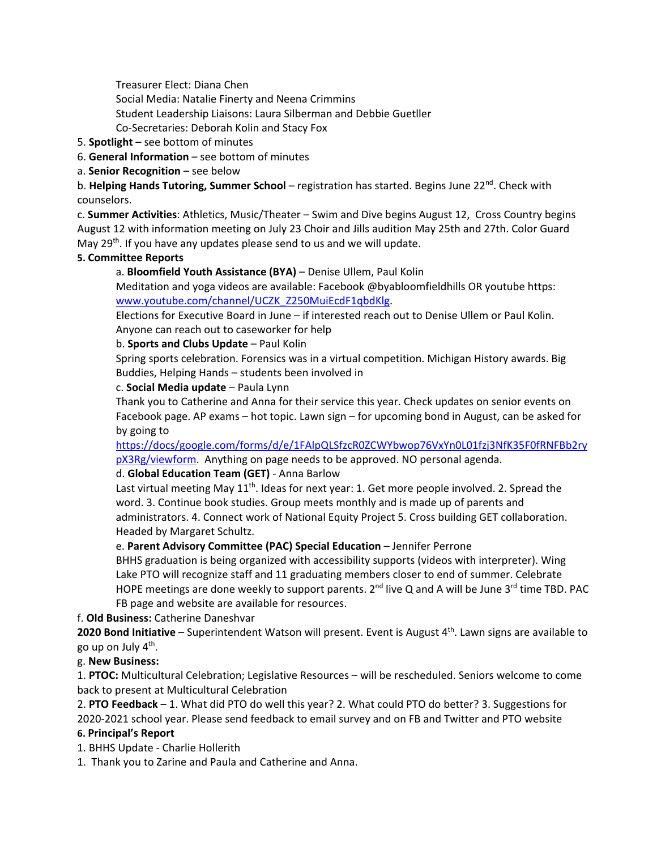Treasurer Elect: Diana Chen

Social Media: Natalie Finerty and Neena Crimmins

- Student Leadership Liaisons: Laura Silberman and Debbie Guetller
- Co-Secretaries: Deborah Kolin and Stacy Fox
- 5. **Spotlight** see bottom of minutes
- 6. **General Information** see bottom of minutes

a. **Senior Recognition** – see below

b. **Helping Hands Tutoring, Summer School** – registration has started. Begins June 22<sup>nd</sup>. Check with counselors.

c. **Summer Activities**: Athletics, Music/Theater – Swim and Dive begins August 12, Cross Country begins August 12 with information meeting on July 23 Choir and Jills audition May 25th and 27th. Color Guard May  $29<sup>th</sup>$ . If you have any updates please send to us and we will update.

## **5. Committee Reports**

a. **Bloomfield Youth Assistance (BYA)** – Denise Ullem, Paul Kolin

Meditation and yoga videos are available: Facebook @byabloomfieldhills OR youtube https: [www.youtube.com/channel/UCZK\\_Z250MuiEcdF1qbdKlg.](about:blank)

Elections for Executive Board in June – if interested reach out to Denise Ullem or Paul Kolin. Anyone can reach out to caseworker for help

## b. **Sports and Clubs Update** – Paul Kolin

Spring sports celebration. Forensics was in a virtual competition. Michigan History awards. Big Buddies, Helping Hands – students been involved in

#### c. **Social Media update** – Paula Lynn

Thank you to Catherine and Anna for their service this year. Check updates on senior events on Facebook page. AP exams – hot topic. Lawn sign – for upcoming bond in August, can be asked for by going to

[https://docs/google.com/forms/d/e/1FAlpQLSfzcR0ZCWYbwop76VxYn0L01fzj3NfK35F0fRNFBb2ry](https://docs/google.com/forms/d/e/1FAlpQLSfzcR0ZCWYbwop76VxYn0L01fzj3NfK35F0fRNFBb2rypX3Rg/viewform) [pX3Rg/viewform.](https://docs/google.com/forms/d/e/1FAlpQLSfzcR0ZCWYbwop76VxYn0L01fzj3NfK35F0fRNFBb2rypX3Rg/viewform) Anything on page needs to be approved. NO personal agenda.

# d. **Global Education Team (GET)** - Anna Barlow

Last virtual meeting May 11<sup>th</sup>. Ideas for next year: 1. Get more people involved. 2. Spread the word. 3. Continue book studies. Group meets monthly and is made up of parents and administrators. 4. Connect work of National Equity Project 5. Cross building GET collaboration. Headed by Margaret Schultz.

# e. **Parent Advisory Committee (PAC) Special Education** – Jennifer Perrone

BHHS graduation is being organized with accessibility supports (videos with interpreter). Wing Lake PTO will recognize staff and 11 graduating members closer to end of summer. Celebrate HOPE meetings are done weekly to support parents.  $2^{nd}$  live Q and A will be June 3<sup>rd</sup> time TBD. PAC FB page and website are available for resources.

#### f. **Old Business:** Catherine Daneshvar

2020 Bond Initiative – Superintendent Watson will present. Event is August 4<sup>th</sup>. Lawn signs are available to go up on July  $4<sup>th</sup>$ .

# g. **New Business:**

1. **PTOC:** Multicultural Celebration; Legislative Resources – will be rescheduled. Seniors welcome to come back to present at Multicultural Celebration

2. **PTO Feedback** – 1. What did PTO do well this year? 2. What could PTO do better? 3. Suggestions for 2020-2021 school year. Please send feedback to email survey and on FB and Twitter and PTO website

# **6. Principal's Report**

1. BHHS Update - Charlie Hollerith

1. Thank you to Zarine and Paula and Catherine and Anna.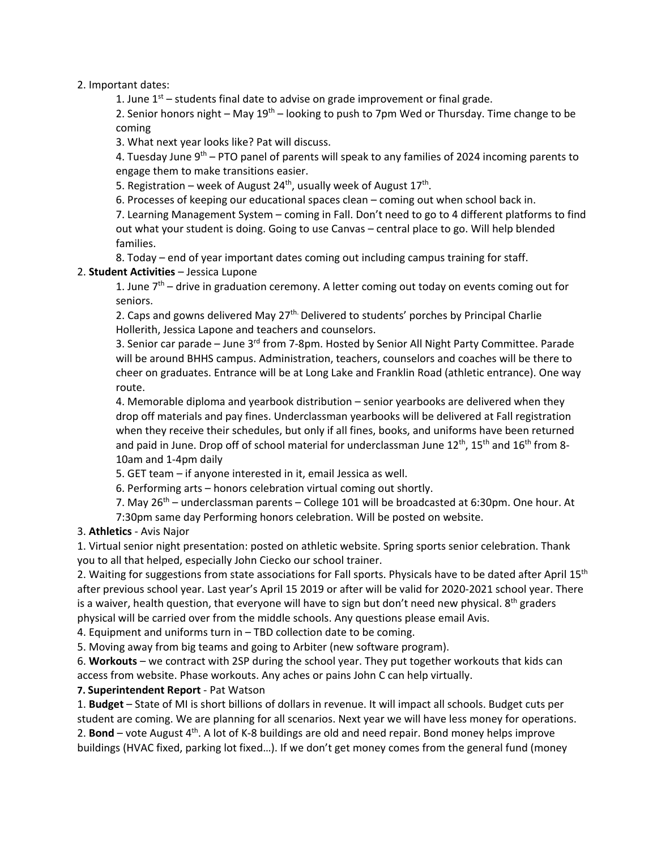2. Important dates:

1. June  $1<sup>st</sup>$  – students final date to advise on grade improvement or final grade.

2. Senior honors night – May  $19<sup>th</sup>$  – looking to push to 7pm Wed or Thursday. Time change to be coming

3. What next year looks like? Pat will discuss.

4. Tuesday June  $9^{th}$  – PTO panel of parents will speak to any families of 2024 incoming parents to engage them to make transitions easier.

5. Registration – week of August 24<sup>th</sup>, usually week of August  $17<sup>th</sup>$ .

6. Processes of keeping our educational spaces clean – coming out when school back in.

7. Learning Management System – coming in Fall. Don't need to go to 4 different platforms to find out what your student is doing. Going to use Canvas – central place to go. Will help blended families.

8. Today – end of year important dates coming out including campus training for staff.

## 2. **Student Activities** – Jessica Lupone

1. June  $7<sup>th</sup>$  – drive in graduation ceremony. A letter coming out today on events coming out for seniors.

2. Caps and gowns delivered May 27<sup>th.</sup> Delivered to students' porches by Principal Charlie Hollerith, Jessica Lapone and teachers and counselors.

3. Senior car parade – June  $3<sup>rd</sup>$  from 7-8pm. Hosted by Senior All Night Party Committee. Parade will be around BHHS campus. Administration, teachers, counselors and coaches will be there to cheer on graduates. Entrance will be at Long Lake and Franklin Road (athletic entrance). One way route.

4. Memorable diploma and yearbook distribution – senior yearbooks are delivered when they drop off materials and pay fines. Underclassman yearbooks will be delivered at Fall registration when they receive their schedules, but only if all fines, books, and uniforms have been returned and paid in June. Drop off of school material for underclassman June 12<sup>th</sup>, 15<sup>th</sup> and 16<sup>th</sup> from 8-10am and 1-4pm daily

5. GET team – if anyone interested in it, email Jessica as well.

6. Performing arts – honors celebration virtual coming out shortly.

7. May  $26<sup>th</sup>$  – underclassman parents – College 101 will be broadcasted at 6:30pm. One hour. At 7:30pm same day Performing honors celebration. Will be posted on website.

#### 3. **Athletics** - Avis Najor

1. Virtual senior night presentation: posted on athletic website. Spring sports senior celebration. Thank you to all that helped, especially John Ciecko our school trainer.

2. Waiting for suggestions from state associations for Fall sports. Physicals have to be dated after April 15<sup>th</sup> after previous school year. Last year's April 15 2019 or after will be valid for 2020-2021 school year. There is a waiver, health question, that everyone will have to sign but don't need new physical. 8<sup>th</sup> graders physical will be carried over from the middle schools. Any questions please email Avis.

4. Equipment and uniforms turn in – TBD collection date to be coming.

5. Moving away from big teams and going to Arbiter (new software program).

6. **Workouts** – we contract with 2SP during the school year. They put together workouts that kids can access from website. Phase workouts. Any aches or pains John C can help virtually.

**7. Superintendent Report** - Pat Watson

1. **Budget** – State of MI is short billions of dollars in revenue. It will impact all schools. Budget cuts per student are coming. We are planning for all scenarios. Next year we will have less money for operations.

2. **Bond** – vote August 4th. A lot of K-8 buildings are old and need repair. Bond money helps improve buildings (HVAC fixed, parking lot fixed…). If we don't get money comes from the general fund (money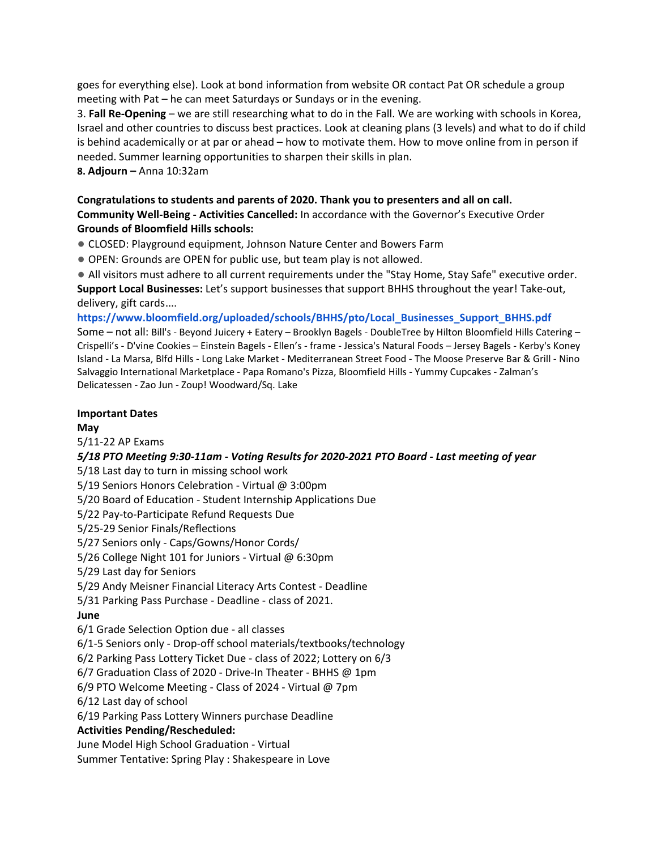goes for everything else). Look at bond information from website OR contact Pat OR schedule a group meeting with Pat – he can meet Saturdays or Sundays or in the evening.

3. **Fall Re-Opening** – we are still researching what to do in the Fall. We are working with schools in Korea, Israel and other countries to discuss best practices. Look at cleaning plans (3 levels) and what to do if child is behind academically or at par or ahead – how to motivate them. How to move online from in person if needed. Summer learning opportunities to sharpen their skills in plan.

**8. Adjourn –** Anna 10:32am

### **Congratulations to students and parents of 2020. Thank you to presenters and all on call. Community Well-Being - Activities Cancelled:** In accordance with the Governor's Executive Order **Grounds of Bloomfield Hills schools:**

- CLOSED: Playground equipment, Johnson Nature Center and Bowers Farm
- OPEN: Grounds are OPEN for public use, but team play is not allowed.
- All visitors must adhere to all current requirements under the "Stay Home, Stay Safe" executive order.

**Support Local Businesses:** Let's support businesses that support BHHS throughout the year! Take-out, delivery, gift cards….

**https://www.bloomfield.org/uploaded/schools/BHHS/pto/Local\_Businesses\_Support\_BHHS.pdf** Some – not all: Bill's - Beyond Juicery + Eatery – Brooklyn Bagels - DoubleTree by Hilton Bloomfield Hills Catering – Crispelli's - D'vine Cookies – Einstein Bagels - Ellen's - frame - Jessica's Natural Foods – Jersey Bagels - Kerby's Koney Island - La Marsa, Blfd Hills - Long Lake Market - Mediterranean Street Food - The Moose Preserve Bar & Grill - Nino Salvaggio International Marketplace - Papa Romano's Pizza, Bloomfield Hills - Yummy Cupcakes - Zalman's Delicatessen - Zao Jun - Zoup! Woodward/Sq. Lake

## **Important Dates**

### **May**

5/11-22 AP Exams

#### *5/18 PTO Meeting 9:30-11am - Voting Results for 2020-2021 PTO Board - Last meeting of year*

5/18 Last day to turn in missing school work

5/19 Seniors Honors Celebration - Virtual @ 3:00pm

5/20 Board of Education - Student Internship Applications Due

5/22 Pay-to-Participate Refund Requests Due

5/25-29 Senior Finals/Reflections

5/27 Seniors only - Caps/Gowns/Honor Cords/

5/26 College Night 101 for Juniors - Virtual @ 6:30pm

5/29 Last day for Seniors

5/29 Andy Meisner Financial Literacy Arts Contest - Deadline

5/31 Parking Pass Purchase - Deadline - class of 2021.

# **June**

6/1 Grade Selection Option due - all classes

6/1-5 Seniors only - Drop-off school materials/textbooks/technology

6/2 Parking Pass Lottery Ticket Due - class of 2022; Lottery on 6/3

6/7 Graduation Class of 2020 - Drive-In Theater - BHHS @ 1pm

6/9 PTO Welcome Meeting - Class of 2024 - Virtual @ 7pm

6/12 Last day of school

6/19 Parking Pass Lottery Winners purchase Deadline

#### **Activities Pending/Rescheduled:**

June Model High School Graduation - Virtual

Summer Tentative: Spring Play : Shakespeare in Love